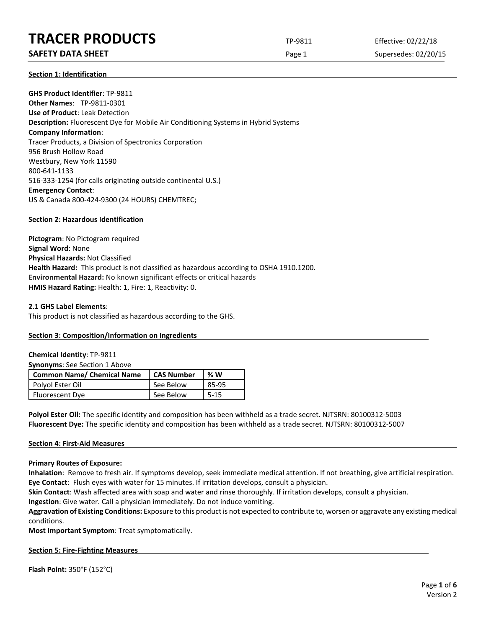# **TRACER PRODUCTS** TP-9811 Effective: 02/22/18

# **SAFETY DATA SHEET** SUPERFOUR CONSUMING THE Page 1 Supersedes: 02/20/15

**Section 1: Identification**

**GHS Product Identifier**: TP-9811 **Other Names**: TP-9811-0301 **Use of Product**: Leak Detection **Description:** Fluorescent Dye for Mobile Air Conditioning Systems in Hybrid Systems **Company Information**: Tracer Products, a Division of Spectronics Corporation 956 Brush Hollow Road Westbury, New York 11590 800-641-1133 516-333-1254 (for calls originating outside continental U.S.) **Emergency Contact**: US & Canada 800-424-9300 (24 HOURS) CHEMTREC;

# **Section 2: Hazardous Identification**

**Pictogram**: No Pictogram required **Signal Word**: None **Physical Hazards:** Not Classified **Health Hazard:** This product is not classified as hazardous according to OSHA 1910.1200. **Environmental Hazard:** No known significant effects or critical hazards **HMIS Hazard Rating:** Health: 1, Fire: 1, Reactivity: 0.

# **2.1 GHS Label Elements**:

This product is not classified as hazardous according to the GHS.

# **Section 3: Composition/Information on Ingredients**

# **Chemical Identity**: TP-9811

**Synonyms**: See Section 1 Above

| <b>Common Name/ Chemical Name</b> | <b>CAS Number</b> | %W       |
|-----------------------------------|-------------------|----------|
| Polyol Ester Oil                  | See Below         | 85-95    |
| <b>Fluorescent Dye</b>            | See Below         | $5 - 15$ |

**Polyol Ester Oil:** The specific identity and composition has been withheld as a trade secret. NJTSRN: 80100312-5003 **Fluorescent Dye:** The specific identity and composition has been withheld as a trade secret. NJTSRN: 80100312-5007

# **Section 4: First-Aid Measures**

**Primary Routes of Exposure:**

**Inhalation**: Remove to fresh air. If symptoms develop, seek immediate medical attention. If not breathing, give artificial respiration. **Eye Contact**: Flush eyes with water for 15 minutes. If irritation develops, consult a physician.

**Skin Contact**: Wash affected area with soap and water and rinse thoroughly. If irritation develops, consult a physician.

**Ingestion**: Give water. Call a physician immediately. Do not induce vomiting.

**Aggravation of Existing Conditions:** Exposure to this product is not expected to contribute to, worsen or aggravate any existing medical conditions.

**Most Important Symptom**: Treat symptomatically.

# **Section 5: Fire-Fighting Measures**

**Flash Point:** 350°F (152°C)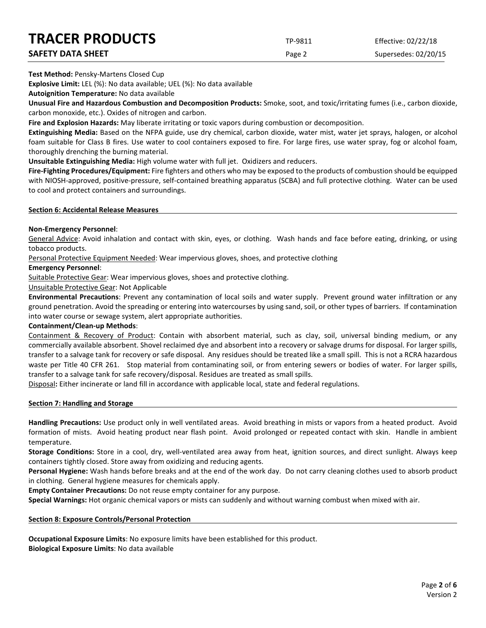| <b>TRACER PRODUCTS</b>   | TP-9811 | Effective: 02/22/18  |
|--------------------------|---------|----------------------|
| <b>SAFETY DATA SHEET</b> | Page 2  | Supersedes: 02/20/15 |

**Test Method:** Pensky-Martens Closed Cup

**Explosive Limit:** LEL (%): No data available; UEL (%): No data available

**Autoignition Temperature:** No data available

**Unusual Fire and Hazardous Combustion and Decomposition Products:** Smoke, soot, and toxic/irritating fumes (i.e., carbon dioxide, carbon monoxide, etc.). Oxides of nitrogen and carbon.

**Fire and Explosion Hazards:** May liberate irritating or toxic vapors during combustion or decomposition.

**Extinguishing Media:** Based on the NFPA guide, use dry chemical, carbon dioxide, water mist, water jet sprays, halogen, or alcohol foam suitable for Class B fires. Use water to cool containers exposed to fire. For large fires, use water spray, fog or alcohol foam, thoroughly drenching the burning material.

**Unsuitable Extinguishing Media:** High volume water with full jet. Oxidizers and reducers.

**Fire-Fighting Procedures/Equipment:** Fire fighters and others who may be exposed to the products of combustion should be equipped with NIOSH-approved, positive-pressure, self-contained breathing apparatus (SCBA) and full protective clothing. Water can be used to cool and protect containers and surroundings.

# **Section 6: Accidental Release Measures**

# **Non-Emergency Personnel**:

General Advice: Avoid inhalation and contact with skin, eyes, or clothing. Wash hands and face before eating, drinking, or using tobacco products.

Personal Protective Equipment Needed: Wear impervious gloves, shoes, and protective clothing

# **Emergency Personnel**:

Suitable Protective Gear: Wear impervious gloves, shoes and protective clothing.

Unsuitable Protective Gear: Not Applicable

**Environmental Precautions**: Prevent any contamination of local soils and water supply. Prevent ground water infiltration or any ground penetration. Avoid the spreading or entering into watercourses by using sand, soil, or other types of barriers. If contamination into water course or sewage system, alert appropriate authorities.

# **Containment/Clean-up Methods**:

Containment & Recovery of Product: Contain with absorbent material, such as clay, soil, universal binding medium, or any commercially available absorbent. Shovel reclaimed dye and absorbent into a recovery or salvage drums for disposal. For larger spills, transfer to a salvage tank for recovery or safe disposal. Any residues should be treated like a small spill. This is not a RCRA hazardous waste per Title 40 CFR 261. Stop material from contaminating soil, or from entering sewers or bodies of water. For larger spills, transfer to a salvage tank for safe recovery/disposal. Residues are treated as small spills.

Disposal**:** Either incinerate or land fill in accordance with applicable local, state and federal regulations.

# **Section 7: Handling and Storage**

**Handling Precautions:** Use product only in well ventilated areas. Avoid breathing in mists or vapors from a heated product. Avoid formation of mists. Avoid heating product near flash point. Avoid prolonged or repeated contact with skin. Handle in ambient temperature.

**Storage Conditions:** Store in a cool, dry, well-ventilated area away from heat, ignition sources, and direct sunlight. Always keep containers tightly closed. Store away from oxidizing and reducing agents.

**Personal Hygiene:** Wash hands before breaks and at the end of the work day. Do not carry cleaning clothes used to absorb product in clothing. General hygiene measures for chemicals apply.

**Empty Container Precautions:** Do not reuse empty container for any purpose.

**Special Warnings:** Hot organic chemical vapors or mists can suddenly and without warning combust when mixed with air.

# **Section 8: Exposure Controls/Personal Protection**

**Occupational Exposure Limits**: No exposure limits have been established for this product. **Biological Exposure Limits**: No data available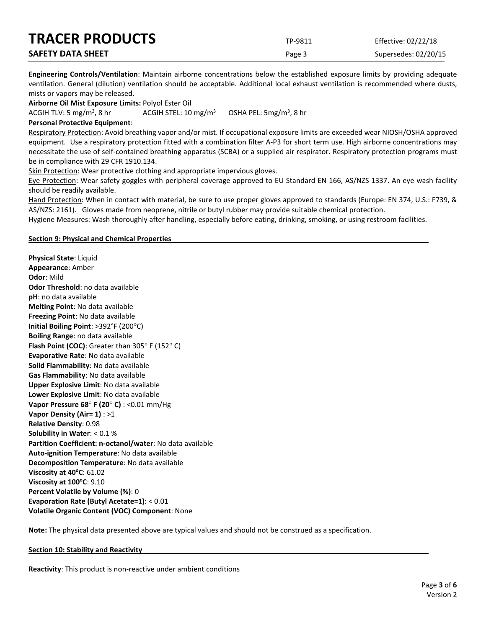| <b>TRACER PRODUCTS</b>   | TP-9811 | Effective: 02/22/18  |
|--------------------------|---------|----------------------|
| <b>SAFETY DATA SHEET</b> | Page 3  | Supersedes: 02/20/15 |

**Engineering Controls/Ventilation**: Maintain airborne concentrations below the established exposure limits by providing adequate ventilation. General (dilution) ventilation should be acceptable. Additional local exhaust ventilation is recommended where dusts, mists or vapors may be released.

**Airborne Oil Mist Exposure Limits:** Polyol Ester Oil

ACGIH TLV: 5 mg/m<sup>3</sup>, 8 hr ACGIH STEL:  $10 \text{ mg/m}^3$ OSHA PEL:  $5mg/m<sup>3</sup>$ , 8 hr

# **Personal Protective Equipment**:

Respiratory Protection: Avoid breathing vapor and/or mist. If occupational exposure limits are exceeded wear NIOSH/OSHA approved equipment. Use a respiratory protection fitted with a combination filter A-P3 for short term use. High airborne concentrations may necessitate the use of self-contained breathing apparatus (SCBA) or a supplied air respirator. Respiratory protection programs must be in compliance with 29 CFR 1910.134.

Skin Protection: Wear protective clothing and appropriate impervious gloves.

Eye Protection: Wear safety goggles with peripheral coverage approved to EU Standard EN 166, AS/NZS 1337. An eye wash facility should be readily available.

Hand Protection: When in contact with material, be sure to use proper gloves approved to standards (Europe: EN 374, U.S.: F739, & AS/NZS: 2161). Gloves made from neoprene, nitrile or butyl rubber may provide suitable chemical protection.

Hygiene Measures: Wash thoroughly after handling, especially before eating, drinking, smoking, or using restroom facilities.

# **Section 9: Physical and Chemical Properties**

**Physical State**: Liquid **Appearance**: Amber **Odor**: Mild **Odor Threshold**: no data available **pH**: no data available **Melting Point**: No data available **Freezing Point**: No data available **Initial Boiling Point**: >392°F (200°C) **Boiling Range**: no data available **Flash Point (COC)**: Greater than 305° F (152° C) **Evaporative Rate**: No data available **Solid Flammability**: No data available **Gas Flammability**: No data available **Upper Explosive Limit**: No data available **Lower Explosive Limit**: No data available **Vapor Pressure 68**° **F (20**° **C)** : <0.01 mm/Hg **Vapor Density (Air= 1)** : >1 **Relative Density**: 0.98 **Solubility in Water**: < 0.1 % **Partition Coefficient: n-octanol/water**: No data available **Auto-ignition Temperature**: No data available **Decomposition Temperature**: No data available **Viscosity at 40°C**: 61.02 **Viscosity at 100°C: 9.10 Percent Volatile by Volume (%)**: 0 **Evaporation Rate (Butyl Acetate=1)**: < 0.01 **Volatile Organic Content (VOC) Component**: None

**Note:** The physical data presented above are typical values and should not be construed as a specification.

# **Section 10: Stability and Reactivity**

**Reactivity**: This product is non-reactive under ambient conditions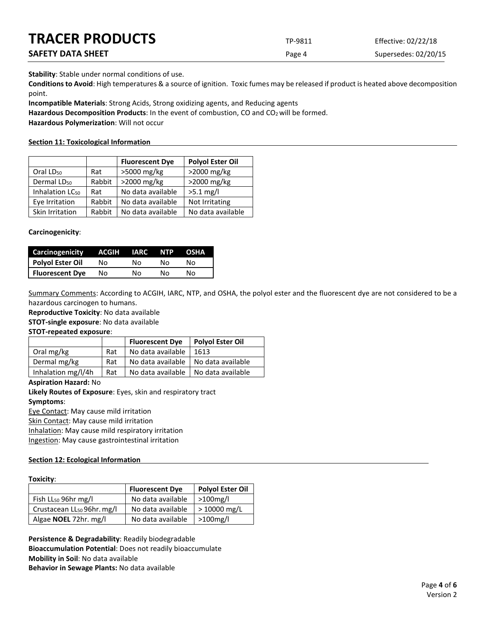| <b>TRACER PRODUCTS</b> | TP-9811 | Effective: 02/22/18  |
|------------------------|---------|----------------------|
| SAFETY DATA SHEET      | Page 4  | Supersedes: 02/20/15 |

**Stability**: Stable under normal conditions of use.

**Conditions to Avoid**: High temperatures & a source of ignition. Toxic fumes may be released if product is heated above decomposition point.

**Incompatible Materials**: Strong Acids, Strong oxidizing agents, and Reducing agents

Hazardous Decomposition Products: In the event of combustion, CO and CO<sub>2</sub> will be formed.

**Hazardous Polymerization**: Will not occur

# **Section 11: Toxicological Information**

|                             |        | <b>Fluorescent Dye</b> | <b>Polyol Ester Oil</b> |
|-----------------------------|--------|------------------------|-------------------------|
| Oral LD <sub>50</sub>       | Rat    | >5000 mg/kg            | >2000 mg/kg             |
| Dermal LD <sub>50</sub>     | Rabbit | >2000 mg/kg            | >2000 mg/kg             |
| Inhalation LC <sub>50</sub> | Rat    | No data available      | $>5.1$ mg/l             |
| Eye Irritation              | Rabbit | No data available      | Not Irritating          |
| Skin Irritation             | Rabbit | No data available      | No data available       |

# **Carcinogenicity**:

| Carcinogenicity        | ACGIH | <b>IARC</b> | <b>NTP</b> | <b>OSHA</b> |
|------------------------|-------|-------------|------------|-------------|
| Polyol Ester Oil       | Nο    | N٥          | N٥         | N٥          |
| <b>Fluorescent Dye</b> | Nο    | N٥          | N٥         | N٥          |

Summary Comments: According to ACGIH, IARC, NTP, and OSHA, the polyol ester and the fluorescent dye are not considered to be a hazardous carcinogen to humans.

**Reproductive Toxicity**: No data available

**STOT-single exposure**: No data available

# **STOT-repeated exposure**:

|                    |     | <b>Fluorescent Dye</b> | <b>Polyol Ester Oil</b> |
|--------------------|-----|------------------------|-------------------------|
| Oral mg/kg         | Rat | No data available      | 1613                    |
| Dermal mg/kg       | Rat | No data available      | No data available       |
| Inhalation mg/l/4h | Rat | No data available      | No data available       |

# **Aspiration Hazard:** No

**Likely Routes of Exposure**: Eyes, skin and respiratory tract

# **Symptoms**:

Eye Contact: May cause mild irritation

Skin Contact: May cause mild irritation

Inhalation: May cause mild respiratory irritation

Ingestion: May cause gastrointestinal irritation

# **Section 12: Ecological Information**

# **Toxicity**:

|                                        | <b>Fluorescent Dye</b> | <b>Polyol Ester Oil</b> |
|----------------------------------------|------------------------|-------------------------|
| Fish $LL_{50}$ 96hr mg/l               | No data available      | $>100$ mg/l             |
| Crustacean LL <sub>50</sub> 96hr. mg/l | No data available      | > 10000 mg/L            |
| Algae <b>NOEL</b> 72hr. mg/l           | No data available      | $>100$ mg/l             |

**Persistence & Degradability**: Readily biodegradable **Bioaccumulation Potential**: Does not readily bioaccumulate **Mobility in Soil**: No data available **Behavior in Sewage Plants:** No data available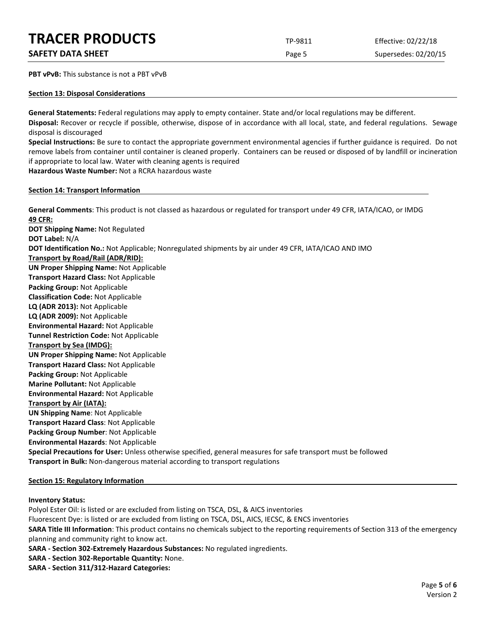# **TRACER PRODUCTS** TP-9811 Effective: 02/22/18

**PBT vPvB:** This substance is not a PBT vPvB

# **Section 13: Disposal Considerations**

**General Statements:** Federal regulations may apply to empty container. State and/or local regulations may be different.

**Disposal:** Recover or recycle if possible, otherwise, dispose of in accordance with all local, state, and federal regulations. Sewage disposal is discouraged

**Special Instructions:** Be sure to contact the appropriate government environmental agencies if further guidance is required. Do not remove labels from container until container is cleaned properly. Containers can be reused or disposed of by landfill or incineration if appropriate to local law. Water with cleaning agents is required

**Hazardous Waste Number:** Not a RCRA hazardous waste

# **Section 14: Transport Information**

**General Comments**: This product is not classed as hazardous or regulated for transport under 49 CFR, IATA/ICAO, or IMDG **49 CFR: DOT Shipping Name:** Not Regulated **DOT Label:** N/A **DOT Identification No.:** Not Applicable; Nonregulated shipments by air under 49 CFR, IATA/ICAO AND IMO **Transport by Road/Rail (ADR/RID): UN Proper Shipping Name:** Not Applicable **Transport Hazard Class:** Not Applicable **Packing Group:** Not Applicable **Classification Code:** Not Applicable

**LQ (ADR 2013):** Not Applicable

**LQ (ADR 2009):** Not Applicable

**Environmental Hazard:** Not Applicable

**Tunnel Restriction Code:** Not Applicable

**Transport by Sea (IMDG):** 

**UN Proper Shipping Name:** Not Applicable

**Transport Hazard Class:** Not Applicable

**Packing Group:** Not Applicable

**Marine Pollutant:** Not Applicable **Environmental Hazard:** Not Applicable

**Transport by Air (IATA):**

**UN Shipping Name**: Not Applicable

**Transport Hazard Class**: Not Applicable

**Packing Group Number**: Not Applicable

**Environmental Hazards**: Not Applicable

**Special Precautions for User:** Unless otherwise specified, general measures for safe transport must be followed **Transport in Bulk:** Non-dangerous material according to transport regulations

# **Section 15: Regulatory Information**

# **Inventory Status:**

Polyol Ester Oil: is listed or are excluded from listing on TSCA, DSL, & AICS inventories Fluorescent Dye: is listed or are excluded from listing on TSCA, DSL, AICS, IECSC, & ENCS inventories **SARA Title III Information**: This product contains no chemicals subject to the reporting requirements of Section 313 of the emergency planning and community right to know act.

**SARA - Section 302-Extremely Hazardous Substances:** No regulated ingredients.

**SARA - Section 302-Reportable Quantity:** None.

**SARA - Section 311/312-Hazard Categories:**

**SAFETY DATA SHEET** SUPERFOUR SAFET ASSESSED A REPORT OF SUPERFOURING SUPERFOURING SUPERFOURING SUPERFOURING SUPERFOURING SUPERFOURING SUPERFOURING SUPERFOURING SUPERFOURING SUPERFOURING SUPERFOURING SUPERFOURING SUPERFOUR